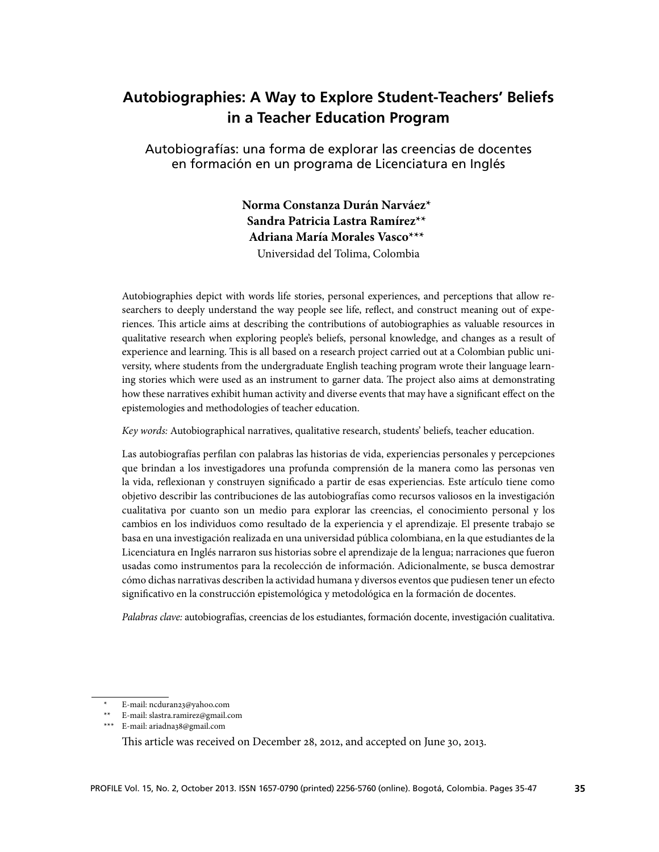# **Autobiographies: A Way to Explore Student-Teachers' Beliefs in a Teacher Education Program**

Autobiografías: una forma de explorar las creencias de docentes en formación en un programa de Licenciatura en Inglés

> **Norma Constanza Durán Narváez\***<sup>1</sup> **Sandra Patricia Lastra Ramírez\*\***<sup>2</sup> **Adriana María Morales Vasco\*\*\***<sup>3</sup> Universidad del Tolima, Colombia

Autobiographies depict with words life stories, personal experiences, and perceptions that allow researchers to deeply understand the way people see life, reflect, and construct meaning out of experiences. This article aims at describing the contributions of autobiographies as valuable resources in qualitative research when exploring people's beliefs, personal knowledge, and changes as a result of experience and learning. This is all based on a research project carried out at a Colombian public university, where students from the undergraduate English teaching program wrote their language learning stories which were used as an instrument to garner data. The project also aims at demonstrating how these narratives exhibit human activity and diverse events that may have a significant effect on the epistemologies and methodologies of teacher education.

*Key words:* Autobiographical narratives, qualitative research, students' beliefs, teacher education.

Las autobiografías perfilan con palabras las historias de vida, experiencias personales y percepciones que brindan a los investigadores una profunda comprensión de la manera como las personas ven la vida, reflexionan y construyen significado a partir de esas experiencias. Este artículo tiene como objetivo describir las contribuciones de las autobiografías como recursos valiosos en la investigación cualitativa por cuanto son un medio para explorar las creencias, el conocimiento personal y los cambios en los individuos como resultado de la experiencia y el aprendizaje. El presente trabajo se basa en una investigación realizada en una universidad pública colombiana, en la que estudiantes de la Licenciatura en Inglés narraron sus historias sobre el aprendizaje de la lengua; narraciones que fueron usadas como instrumentos para la recolección de información. Adicionalmente, se busca demostrar cómo dichas narrativas describen la actividad humana y diversos eventos que pudiesen tener un efecto significativo en la construcción epistemológica y metodológica en la formación de docentes.

*Palabras clave:* autobiografías, creencias de los estudiantes, formación docente, investigación cualitativa.

\*\* E-mail: slastra.ramirez@gmail.com

E-mail: ncduran23@yahoo.com

<sup>\*\*\*</sup> E-mail: ariadna38@gmail.com

This article was received on December 28, 2012, and accepted on June 30, 2013.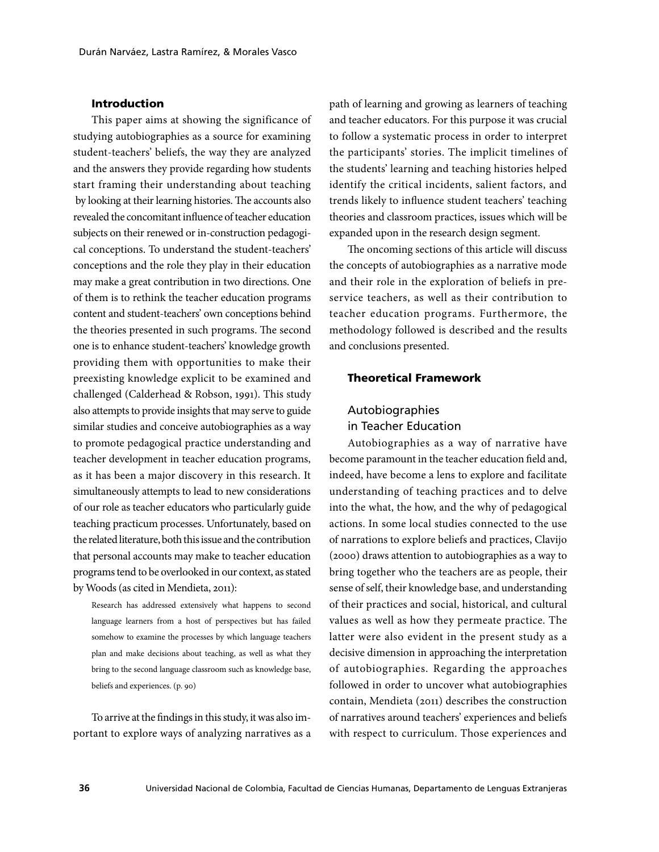#### Introduction

This paper aims at showing the significance of studying autobiographies as a source for examining student-teachers' beliefs, the way they are analyzed and the answers they provide regarding how students start framing their understanding about teaching by looking at their learning histories. The accounts also revealed the concomitant influence of teacher education subjects on their renewed or in-construction pedagogical conceptions. To understand the student-teachers' conceptions and the role they play in their education may make a great contribution in two directions. One of them is to rethink the teacher education programs content and student-teachers' own conceptions behind the theories presented in such programs. The second one is to enhance student-teachers' knowledge growth providing them with opportunities to make their preexisting knowledge explicit to be examined and challenged (Calderhead & Robson, 1991). This study also attempts to provide insights that may serve to guide similar studies and conceive autobiographies as a way to promote pedagogical practice understanding and teacher development in teacher education programs, as it has been a major discovery in this research. It simultaneously attempts to lead to new considerations of our role as teacher educators who particularly guide teaching practicum processes. Unfortunately, based on the related literature, both this issue and the contribution that personal accounts may make to teacher education programs tend to be overlooked in our context, as stated by Woods (as cited in Mendieta, 2011):

Research has addressed extensively what happens to second language learners from a host of perspectives but has failed somehow to examine the processes by which language teachers plan and make decisions about teaching, as well as what they bring to the second language classroom such as knowledge base, beliefs and experiences. (p. 90)

To arrive at the findings in this study, it was also important to explore ways of analyzing narratives as a path of learning and growing as learners of teaching and teacher educators. For this purpose it was crucial to follow a systematic process in order to interpret the participants' stories. The implicit timelines of the students' learning and teaching histories helped identify the critical incidents, salient factors, and trends likely to influence student teachers' teaching theories and classroom practices, issues which will be expanded upon in the research design segment.

The oncoming sections of this article will discuss the concepts of autobiographies as a narrative mode and their role in the exploration of beliefs in preservice teachers, as well as their contribution to teacher education programs. Furthermore, the methodology followed is described and the results and conclusions presented.

### Theoretical Framework

## Autobiographies in Teacher Education

Autobiographies as a way of narrative have become paramount in the teacher education field and, indeed, have become a lens to explore and facilitate understanding of teaching practices and to delve into the what, the how, and the why of pedagogical actions. In some local studies connected to the use of narrations to explore beliefs and practices, Clavijo (2000) draws attention to autobiographies as a way to bring together who the teachers are as people, their sense of self, their knowledge base, and understanding of their practices and social, historical, and cultural values as well as how they permeate practice. The latter were also evident in the present study as a decisive dimension in approaching the interpretation of autobiographies. Regarding the approaches followed in order to uncover what autobiographies contain, Mendieta (2011) describes the construction of narratives around teachers' experiences and beliefs with respect to curriculum. Those experiences and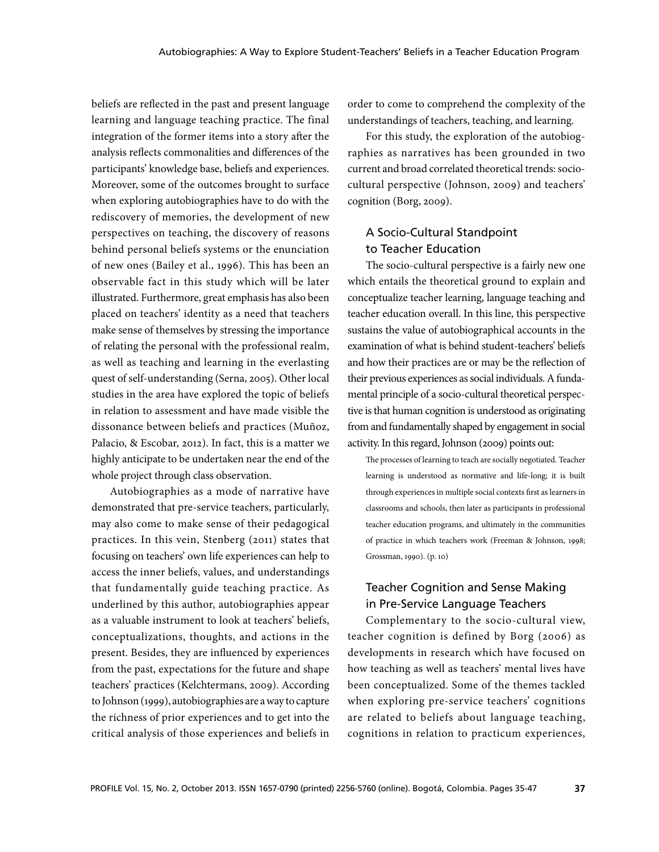beliefs are reflected in the past and present language learning and language teaching practice. The final integration of the former items into a story after the analysis reflects commonalities and differences of the participants' knowledge base, beliefs and experiences. Moreover, some of the outcomes brought to surface when exploring autobiographies have to do with the rediscovery of memories, the development of new perspectives on teaching, the discovery of reasons behind personal beliefs systems or the enunciation of new ones (Bailey et al., 1996). This has been an observable fact in this study which will be later illustrated. Furthermore, great emphasis has also been placed on teachers' identity as a need that teachers make sense of themselves by stressing the importance of relating the personal with the professional realm, as well as teaching and learning in the everlasting quest of self-understanding (Serna, 2005). Other local studies in the area have explored the topic of beliefs in relation to assessment and have made visible the dissonance between beliefs and practices (Muñoz, Palacio, & Escobar, 2012). In fact, this is a matter we highly anticipate to be undertaken near the end of the whole project through class observation.

Autobiographies as a mode of narrative have demonstrated that pre-service teachers, particularly, may also come to make sense of their pedagogical practices. In this vein, Stenberg (2011) states that focusing on teachers' own life experiences can help to access the inner beliefs, values, and understandings that fundamentally guide teaching practice. As underlined by this author, autobiographies appear as a valuable instrument to look at teachers' beliefs, conceptualizations, thoughts, and actions in the present. Besides, they are influenced by experiences from the past, expectations for the future and shape teachers' practices (Kelchtermans, 2009). According to Johnson (1999), autobiographies are a way to capture the richness of prior experiences and to get into the critical analysis of those experiences and beliefs in order to come to comprehend the complexity of the understandings of teachers, teaching, and learning.

For this study, the exploration of the autobiographies as narratives has been grounded in two current and broad correlated theoretical trends: sociocultural perspective (Johnson, 2009) and teachers' cognition (Borg, 2009).

### A Socio-Cultural Standpoint to Teacher Education

The socio-cultural perspective is a fairly new one which entails the theoretical ground to explain and conceptualize teacher learning, language teaching and teacher education overall. In this line, this perspective sustains the value of autobiographical accounts in the examination of what is behind student-teachers' beliefs and how their practices are or may be the reflection of their previous experiences as social individuals. A fundamental principle of a socio-cultural theoretical perspective is that human cognition is understood as originating from and fundamentally shaped by engagement in social activity. In this regard, Johnson (2009) points out:

The processes of learning to teach are socially negotiated. Teacher learning is understood as normative and life-long; it is built through experiences in multiple social contexts first as learners in classrooms and schools, then later as participants in professional teacher education programs, and ultimately in the communities of practice in which teachers work (Freeman & Johnson, 1998; Grossman, 1990). (p. 10)

### Teacher Cognition and Sense Making in Pre-Service Language Teachers

Complementary to the socio-cultural view, teacher cognition is defined by Borg (2006) as developments in research which have focused on how teaching as well as teachers' mental lives have been conceptualized. Some of the themes tackled when exploring pre-service teachers' cognitions are related to beliefs about language teaching, cognitions in relation to practicum experiences,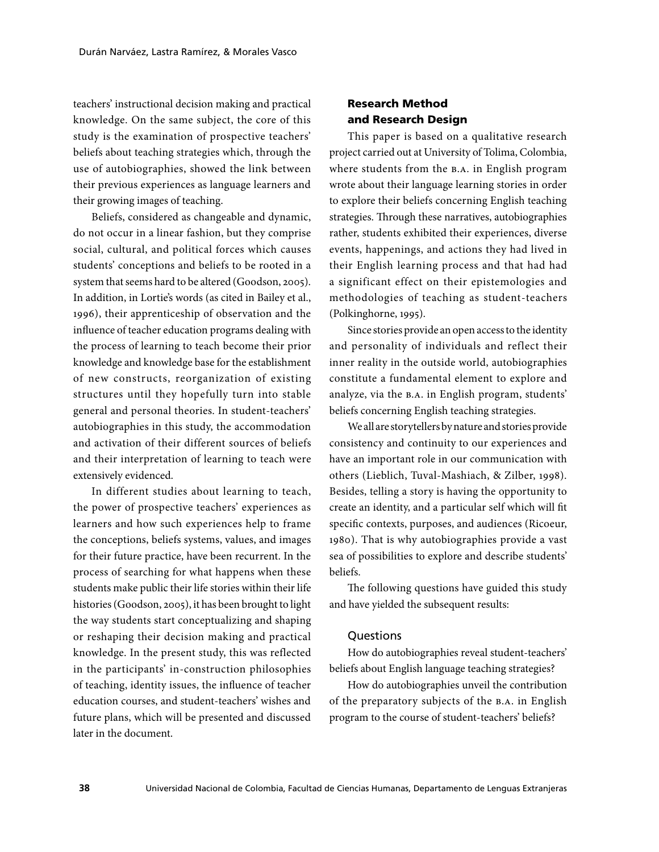teachers' instructional decision making and practical knowledge. On the same subject, the core of this study is the examination of prospective teachers' beliefs about teaching strategies which, through the use of autobiographies, showed the link between their previous experiences as language learners and their growing images of teaching.

Beliefs, considered as changeable and dynamic, do not occur in a linear fashion, but they comprise social, cultural, and political forces which causes students' conceptions and beliefs to be rooted in a system that seems hard to be altered (Goodson, 2005). In addition, in Lortie's words (as cited in Bailey et al., 1996), their apprenticeship of observation and the influence of teacher education programs dealing with the process of learning to teach become their prior knowledge and knowledge base for the establishment of new constructs, reorganization of existing structures until they hopefully turn into stable general and personal theories. In student-teachers' autobiographies in this study, the accommodation and activation of their different sources of beliefs and their interpretation of learning to teach were extensively evidenced.

In different studies about learning to teach, the power of prospective teachers' experiences as learners and how such experiences help to frame the conceptions, beliefs systems, values, and images for their future practice, have been recurrent. In the process of searching for what happens when these students make public their life stories within their life histories (Goodson, 2005), it has been brought to light the way students start conceptualizing and shaping or reshaping their decision making and practical knowledge. In the present study, this was reflected in the participants' in-construction philosophies of teaching, identity issues, the influence of teacher education courses, and student-teachers' wishes and future plans, which will be presented and discussed later in the document.

### Research Method and Research Design

This paper is based on a qualitative research project carried out at University of Tolima, Colombia, where students from the B.A. in English program wrote about their language learning stories in order to explore their beliefs concerning English teaching strategies. Through these narratives, autobiographies rather, students exhibited their experiences, diverse events, happenings, and actions they had lived in their English learning process and that had had a significant effect on their epistemologies and methodologies of teaching as student-teachers (Polkinghorne, 1995).

Since stories provide an open access to the identity and personality of individuals and reflect their inner reality in the outside world, autobiographies constitute a fundamental element to explore and analyze, via the B.A. in English program, students' beliefs concerning English teaching strategies.

We all are storytellers by nature and stories provide consistency and continuity to our experiences and have an important role in our communication with others (Lieblich, Tuval-Mashiach, & Zilber, 1998). Besides, telling a story is having the opportunity to create an identity, and a particular self which will fit specific contexts, purposes, and audiences (Ricoeur, 1980). That is why autobiographies provide a vast sea of possibilities to explore and describe students' beliefs.

The following questions have guided this study and have yielded the subsequent results:

### **Ouestions**

How do autobiographies reveal student-teachers' beliefs about English language teaching strategies?

How do autobiographies unveil the contribution of the preparatory subjects of the B.A. in English program to the course of student-teachers' beliefs?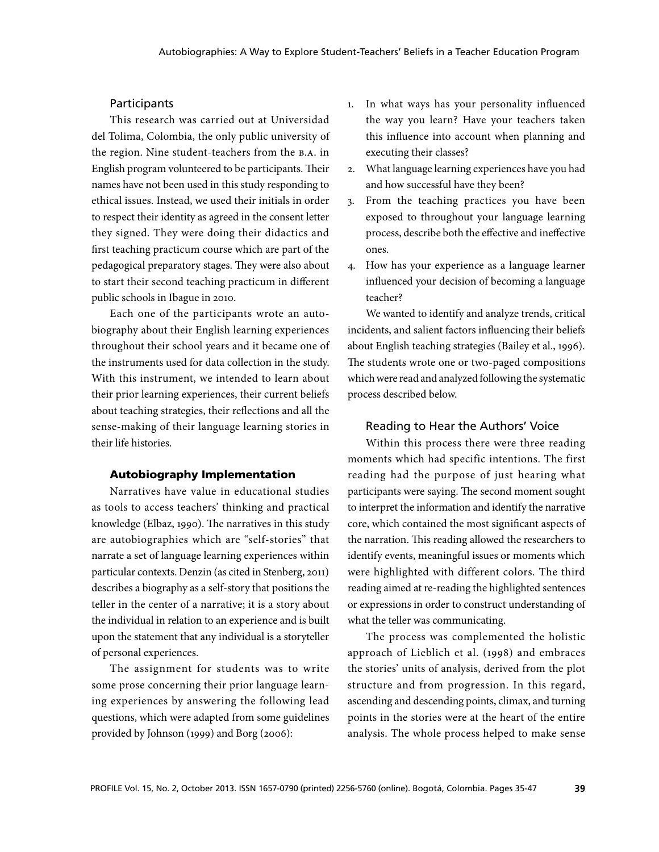### **Participants**

This research was carried out at Universidad del Tolima, Colombia, the only public university of the region. Nine student-teachers from the B.A. in English program volunteered to be participants. Their names have not been used in this study responding to ethical issues. Instead, we used their initials in order to respect their identity as agreed in the consent letter they signed. They were doing their didactics and first teaching practicum course which are part of the pedagogical preparatory stages. They were also about to start their second teaching practicum in different public schools in Ibague in 2010.

Each one of the participants wrote an autobiography about their English learning experiences throughout their school years and it became one of the instruments used for data collection in the study. With this instrument, we intended to learn about their prior learning experiences, their current beliefs about teaching strategies, their reflections and all the sense-making of their language learning stories in their life histories.

### Autobiography Implementation

Narratives have value in educational studies as tools to access teachers' thinking and practical knowledge (Elbaz, 1990). The narratives in this study are autobiographies which are "self-stories" that narrate a set of language learning experiences within particular contexts. Denzin (as cited in Stenberg, 2011) describes a biography as a self-story that positions the teller in the center of a narrative; it is a story about the individual in relation to an experience and is built upon the statement that any individual is a storyteller of personal experiences.

The assignment for students was to write some prose concerning their prior language learning experiences by answering the following lead questions, which were adapted from some guidelines provided by Johnson (1999) and Borg (2006):

- 1. In what ways has your personality influenced the way you learn? Have your teachers taken this influence into account when planning and executing their classes?
- 2. What language learning experiences have you had and how successful have they been?
- 3. From the teaching practices you have been exposed to throughout your language learning process, describe both the effective and ineffective ones.
- 4. How has your experience as a language learner influenced your decision of becoming a language teacher?

We wanted to identify and analyze trends, critical incidents, and salient factors influencing their beliefs about English teaching strategies (Bailey et al., 1996). The students wrote one or two-paged compositions which were read and analyzed following the systematic process described below.

#### Reading to Hear the Authors' Voice

Within this process there were three reading moments which had specific intentions. The first reading had the purpose of just hearing what participants were saying. The second moment sought to interpret the information and identify the narrative core, which contained the most significant aspects of the narration. This reading allowed the researchers to identify events, meaningful issues or moments which were highlighted with different colors. The third reading aimed at re-reading the highlighted sentences or expressions in order to construct understanding of what the teller was communicating.

The process was complemented the holistic approach of Lieblich et al. (1998) and embraces the stories' units of analysis, derived from the plot structure and from progression. In this regard, ascending and descending points, climax, and turning points in the stories were at the heart of the entire analysis. The whole process helped to make sense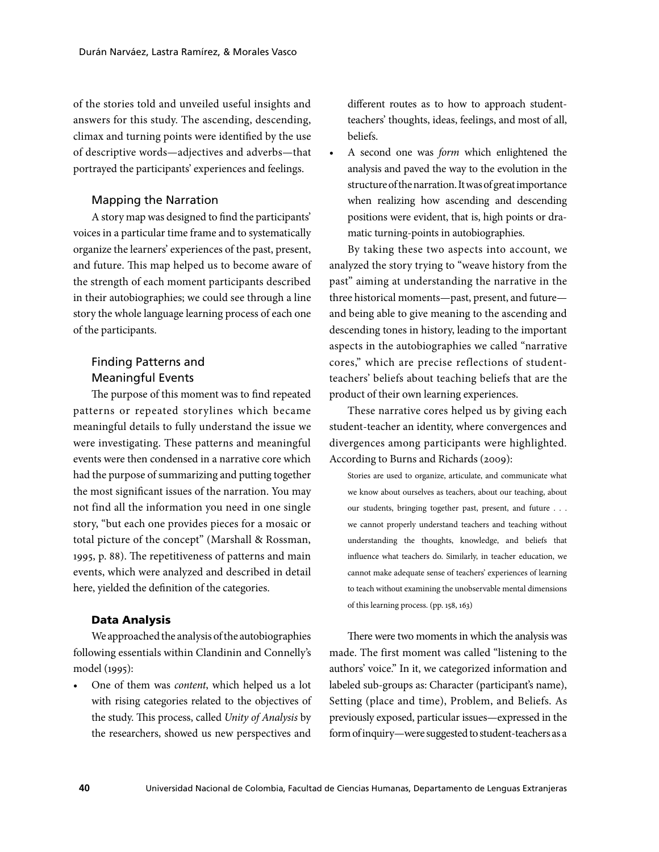of the stories told and unveiled useful insights and answers for this study. The ascending, descending, climax and turning points were identified by the use of descriptive words—adjectives and adverbs—that portrayed the participants' experiences and feelings.

### Mapping the Narration

A story map was designed to find the participants' voices in a particular time frame and to systematically organize the learners' experiences of the past, present, and future. This map helped us to become aware of the strength of each moment participants described in their autobiographies; we could see through a line story the whole language learning process of each one of the participants.

### Finding Patterns and Meaningful Events

The purpose of this moment was to find repeated patterns or repeated storylines which became meaningful details to fully understand the issue we were investigating. These patterns and meaningful events were then condensed in a narrative core which had the purpose of summarizing and putting together the most significant issues of the narration. You may not find all the information you need in one single story, "but each one provides pieces for a mosaic or total picture of the concept" (Marshall & Rossman, 1995, p. 88). The repetitiveness of patterns and main events, which were analyzed and described in detail here, yielded the definition of the categories.

### Data Analysis

We approached the analysis of the autobiographies following essentials within Clandinin and Connelly's model (1995):

One of them was *content*, which helped us a lot with rising categories related to the objectives of the study. This process, called *Unity of Analysis* by the researchers, showed us new perspectives and

different routes as to how to approach studentteachers' thoughts, ideas, feelings, and most of all, beliefs.

A second one was *form* which enlightened the analysis and paved the way to the evolution in the structure of the narration. It was of great importance when realizing how ascending and descending positions were evident, that is, high points or dramatic turning-points in autobiographies.

By taking these two aspects into account, we analyzed the story trying to "weave history from the past" aiming at understanding the narrative in the three historical moments—past, present, and future and being able to give meaning to the ascending and descending tones in history, leading to the important aspects in the autobiographies we called "narrative cores," which are precise reflections of studentteachers' beliefs about teaching beliefs that are the product of their own learning experiences.

These narrative cores helped us by giving each student-teacher an identity, where convergences and divergences among participants were highlighted. According to Burns and Richards (2009):

Stories are used to organize, articulate, and communicate what we know about ourselves as teachers, about our teaching, about our students, bringing together past, present, and future . . . we cannot properly understand teachers and teaching without understanding the thoughts, knowledge, and beliefs that influence what teachers do. Similarly, in teacher education, we cannot make adequate sense of teachers' experiences of learning to teach without examining the unobservable mental dimensions of this learning process. (pp. 158, 163)

There were two moments in which the analysis was made. The first moment was called "listening to the authors' voice." In it, we categorized information and labeled sub-groups as: Character (participant's name), Setting (place and time), Problem, and Beliefs. As previously exposed, particular issues—expressed in the form of inquiry—were suggested to student-teachers as a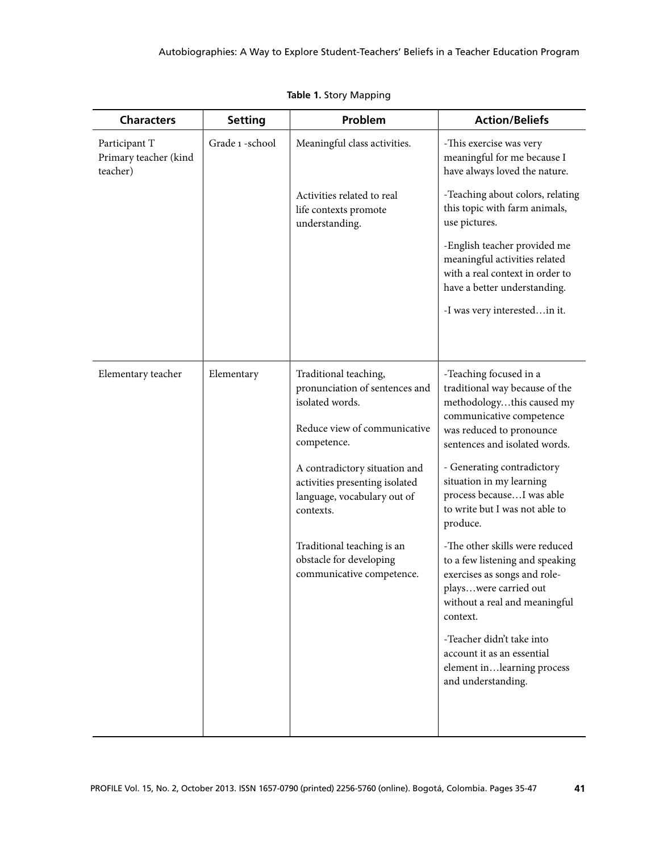| <b>Setting</b>   | Problem                                                                                                                                                                                                                                                                                                                        | <b>Action/Beliefs</b>                                                                                                                                                                                                                                                                                                                                                                                                                                                                                                                                                                                         |
|------------------|--------------------------------------------------------------------------------------------------------------------------------------------------------------------------------------------------------------------------------------------------------------------------------------------------------------------------------|---------------------------------------------------------------------------------------------------------------------------------------------------------------------------------------------------------------------------------------------------------------------------------------------------------------------------------------------------------------------------------------------------------------------------------------------------------------------------------------------------------------------------------------------------------------------------------------------------------------|
| Grade 1 - school | Meaningful class activities.                                                                                                                                                                                                                                                                                                   | -This exercise was very<br>meaningful for me because I<br>have always loved the nature.                                                                                                                                                                                                                                                                                                                                                                                                                                                                                                                       |
|                  | Activities related to real<br>life contexts promote<br>understanding.                                                                                                                                                                                                                                                          | -Teaching about colors, relating<br>this topic with farm animals,<br>use pictures.                                                                                                                                                                                                                                                                                                                                                                                                                                                                                                                            |
|                  |                                                                                                                                                                                                                                                                                                                                | -English teacher provided me<br>meaningful activities related<br>with a real context in order to<br>have a better understanding.                                                                                                                                                                                                                                                                                                                                                                                                                                                                              |
|                  |                                                                                                                                                                                                                                                                                                                                | -I was very interestedin it.                                                                                                                                                                                                                                                                                                                                                                                                                                                                                                                                                                                  |
| Elementary       | Traditional teaching,<br>pronunciation of sentences and<br>isolated words.<br>Reduce view of communicative<br>competence.<br>A contradictory situation and<br>activities presenting isolated<br>language, vocabulary out of<br>contexts.<br>Traditional teaching is an<br>obstacle for developing<br>communicative competence. | -Teaching focused in a<br>traditional way because of the<br>methodologythis caused my<br>communicative competence<br>was reduced to pronounce<br>sentences and isolated words.<br>- Generating contradictory<br>situation in my learning<br>process becauseI was able<br>to write but I was not able to<br>produce.<br>-The other skills were reduced<br>to a few listening and speaking<br>exercises as songs and role-<br>playswere carried out<br>without a real and meaningful<br>context.<br>-Teacher didn't take into<br>account it as an essential<br>element inlearning process<br>and understanding. |
|                  |                                                                                                                                                                                                                                                                                                                                |                                                                                                                                                                                                                                                                                                                                                                                                                                                                                                                                                                                                               |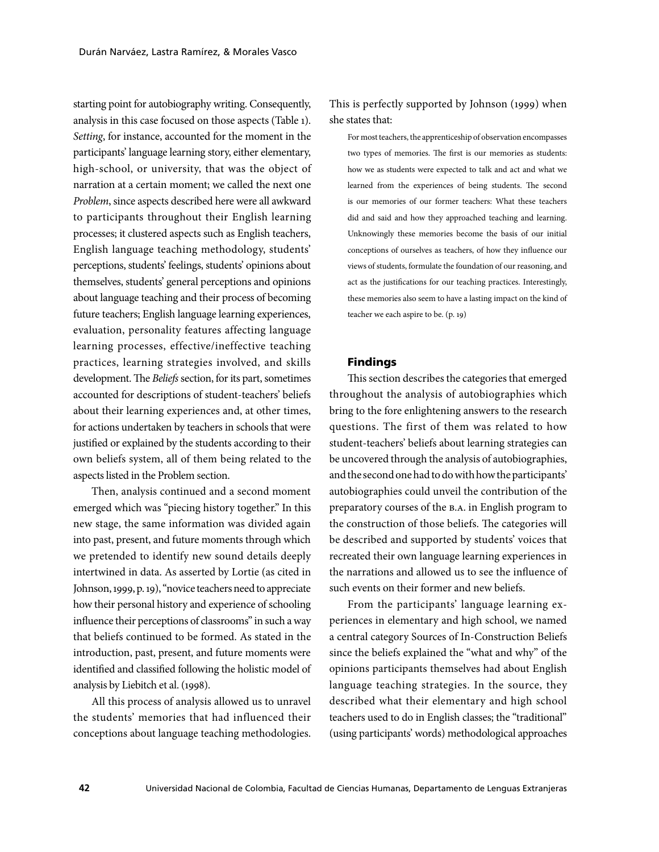starting point for autobiography writing. Consequently, analysis in this case focused on those aspects (Table 1). *Setting*, for instance, accounted for the moment in the participants' language learning story, either elementary, high-school, or university, that was the object of narration at a certain moment; we called the next one *Problem*, since aspects described here were all awkward to participants throughout their English learning processes; it clustered aspects such as English teachers, English language teaching methodology, students' perceptions, students' feelings, students' opinions about themselves, students' general perceptions and opinions about language teaching and their process of becoming future teachers; English language learning experiences, evaluation, personality features affecting language learning processes, effective/ineffective teaching practices, learning strategies involved, and skills development. The *Beliefs* section, for its part, sometimes accounted for descriptions of student-teachers' beliefs about their learning experiences and, at other times, for actions undertaken by teachers in schools that were justified or explained by the students according to their own beliefs system, all of them being related to the aspects listed in the Problem section.

Then, analysis continued and a second moment emerged which was "piecing history together." In this new stage, the same information was divided again into past, present, and future moments through which we pretended to identify new sound details deeply intertwined in data. As asserted by Lortie (as cited in Johnson, 1999, p. 19), "novice teachers need to appreciate how their personal history and experience of schooling influence their perceptions of classrooms" in such a way that beliefs continued to be formed. As stated in the introduction, past, present, and future moments were identified and classified following the holistic model of analysis by Liebitch et al. (1998).

All this process of analysis allowed us to unravel the students' memories that had influenced their conceptions about language teaching methodologies.

### This is perfectly supported by Johnson (1999) when she states that:

For most teachers, the apprenticeship of observation encompasses two types of memories. The first is our memories as students: how we as students were expected to talk and act and what we learned from the experiences of being students. The second is our memories of our former teachers: What these teachers did and said and how they approached teaching and learning. Unknowingly these memories become the basis of our initial conceptions of ourselves as teachers, of how they influence our views of students, formulate the foundation of our reasoning, and act as the justifications for our teaching practices. Interestingly, these memories also seem to have a lasting impact on the kind of teacher we each aspire to be. (p. 19)

#### Findings

This section describes the categories that emerged throughout the analysis of autobiographies which bring to the fore enlightening answers to the research questions. The first of them was related to how student-teachers' beliefs about learning strategies can be uncovered through the analysis of autobiographies, and the second one had to do with how the participants' autobiographies could unveil the contribution of the preparatory courses of the B.A. in English program to the construction of those beliefs. The categories will be described and supported by students' voices that recreated their own language learning experiences in the narrations and allowed us to see the influence of such events on their former and new beliefs.

From the participants' language learning experiences in elementary and high school, we named a central category Sources of In-Construction Beliefs since the beliefs explained the "what and why" of the opinions participants themselves had about English language teaching strategies. In the source, they described what their elementary and high school teachers used to do in English classes; the "traditional" (using participants' words) methodological approaches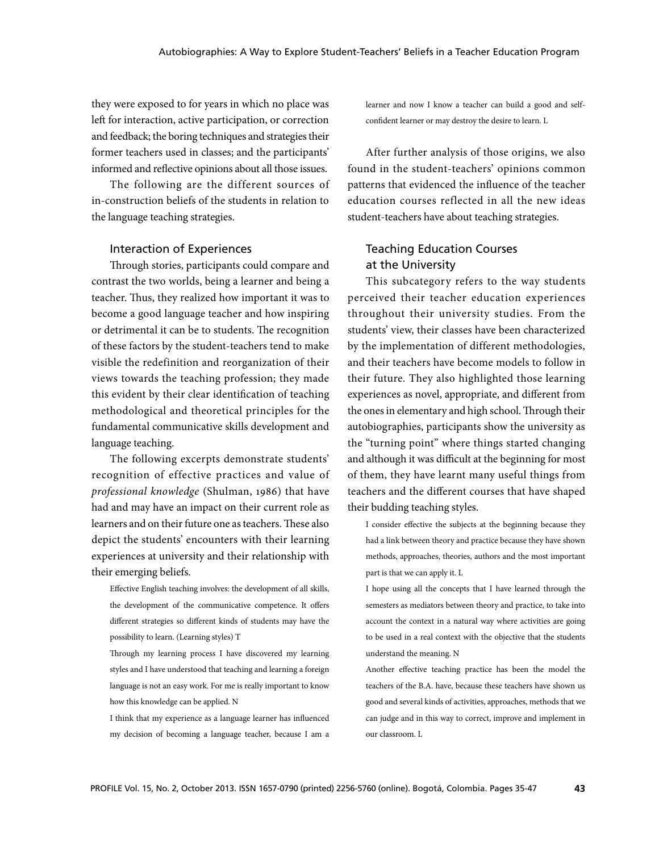they were exposed to for years in which no place was left for interaction, active participation, or correction and feedback; the boring techniques and strategies their former teachers used in classes; and the participants' informed and reflective opinions about all those issues.

The following are the different sources of in-construction beliefs of the students in relation to the language teaching strategies.

#### Interaction of Experiences

Through stories, participants could compare and contrast the two worlds, being a learner and being a teacher. Thus, they realized how important it was to become a good language teacher and how inspiring or detrimental it can be to students. The recognition of these factors by the student-teachers tend to make visible the redefinition and reorganization of their views towards the teaching profession; they made this evident by their clear identification of teaching methodological and theoretical principles for the fundamental communicative skills development and language teaching.

The following excerpts demonstrate students' recognition of effective practices and value of *professional knowledge* (Shulman, 1986) that have had and may have an impact on their current role as learners and on their future one as teachers. These also depict the students' encounters with their learning experiences at university and their relationship with their emerging beliefs.

Effective English teaching involves: the development of all skills, the development of the communicative competence. It offers different strategies so different kinds of students may have the possibility to learn. (Learning styles) T

I think that my experience as a language learner has influenced my decision of becoming a language teacher, because I am a

learner and now I know a teacher can build a good and selfconfident learner or may destroy the desire to learn. L

After further analysis of those origins, we also found in the student-teachers' opinions common patterns that evidenced the influence of the teacher education courses reflected in all the new ideas student-teachers have about teaching strategies.

### Teaching Education Courses at the University

This subcategory refers to the way students perceived their teacher education experiences throughout their university studies. From the students' view, their classes have been characterized by the implementation of different methodologies, and their teachers have become models to follow in their future. They also highlighted those learning experiences as novel, appropriate, and different from the ones in elementary and high school. Through their autobiographies, participants show the university as the "turning point" where things started changing and although it was difficult at the beginning for most of them, they have learnt many useful things from teachers and the different courses that have shaped their budding teaching styles.

I consider effective the subjects at the beginning because they had a link between theory and practice because they have shown methods, approaches, theories, authors and the most important part is that we can apply it. L

I hope using all the concepts that I have learned through the semesters as mediators between theory and practice, to take into account the context in a natural way where activities are going to be used in a real context with the objective that the students understand the meaning. N

Another effective teaching practice has been the model the teachers of the B.A. have, because these teachers have shown us good and several kinds of activities, approaches, methods that we can judge and in this way to correct, improve and implement in our classroom. L

Through my learning process I have discovered my learning styles and I have understood that teaching and learning a foreign language is not an easy work. For me is really important to know how this knowledge can be applied. N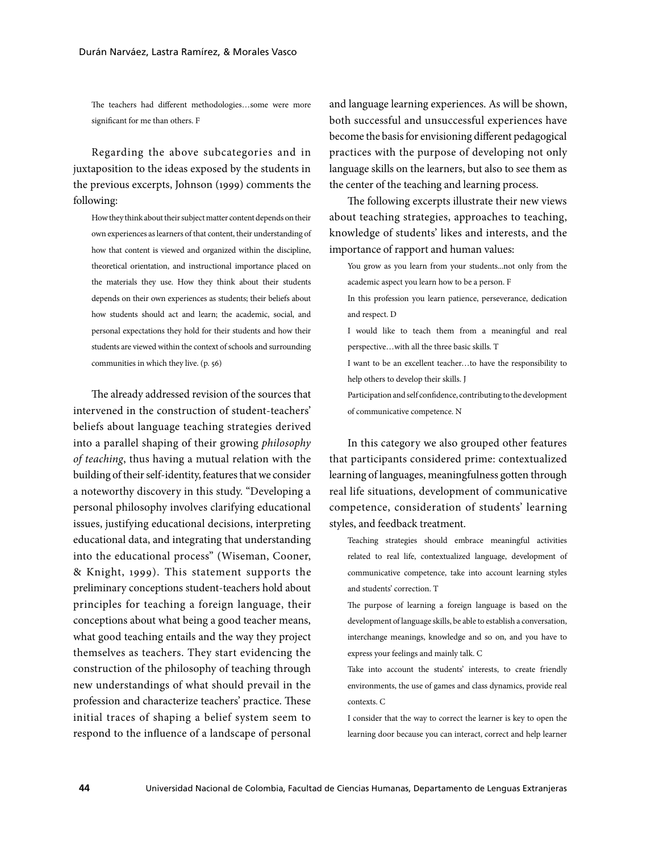The teachers had different methodologies…some were more significant for me than others. F

Regarding the above subcategories and in juxtaposition to the ideas exposed by the students in the previous excerpts, Johnson (1999) comments the following:

How they think about their subject matter content depends on their own experiences as learners of that content, their understanding of how that content is viewed and organized within the discipline, theoretical orientation, and instructional importance placed on the materials they use. How they think about their students depends on their own experiences as students; their beliefs about how students should act and learn; the academic, social, and personal expectations they hold for their students and how their students are viewed within the context of schools and surrounding communities in which they live. (p. 56)

The already addressed revision of the sources that intervened in the construction of student-teachers' beliefs about language teaching strategies derived into a parallel shaping of their growing *philosophy of teaching*, thus having a mutual relation with the building of their self-identity, features that we consider a noteworthy discovery in this study. "Developing a personal philosophy involves clarifying educational issues, justifying educational decisions, interpreting educational data, and integrating that understanding into the educational process" (Wiseman, Cooner, & Knight, 1999). This statement supports the preliminary conceptions student-teachers hold about principles for teaching a foreign language, their conceptions about what being a good teacher means, what good teaching entails and the way they project themselves as teachers. They start evidencing the construction of the philosophy of teaching through new understandings of what should prevail in the profession and characterize teachers' practice. These initial traces of shaping a belief system seem to respond to the influence of a landscape of personal

and language learning experiences. As will be shown, both successful and unsuccessful experiences have become the basis for envisioning different pedagogical practices with the purpose of developing not only language skills on the learners, but also to see them as the center of the teaching and learning process.

The following excerpts illustrate their new views about teaching strategies, approaches to teaching, knowledge of students' likes and interests, and the importance of rapport and human values:

You grow as you learn from your students...not only from the academic aspect you learn how to be a person. F

In this profession you learn patience, perseverance, dedication and respect. D

I would like to teach them from a meaningful and real perspective…with all the three basic skills. T

I want to be an excellent teacher…to have the responsibility to help others to develop their skills. J

Participation and self confidence, contributing to the development of communicative competence. N

In this category we also grouped other features that participants considered prime: contextualized learning of languages, meaningfulness gotten through real life situations, development of communicative competence, consideration of students' learning styles, and feedback treatment.

Teaching strategies should embrace meaningful activities related to real life, contextualized language, development of communicative competence, take into account learning styles and students' correction. T

The purpose of learning a foreign language is based on the development of language skills, be able to establish a conversation, interchange meanings, knowledge and so on, and you have to express your feelings and mainly talk. C

Take into account the students' interests, to create friendly environments, the use of games and class dynamics, provide real contexts. C

I consider that the way to correct the learner is key to open the learning door because you can interact, correct and help learner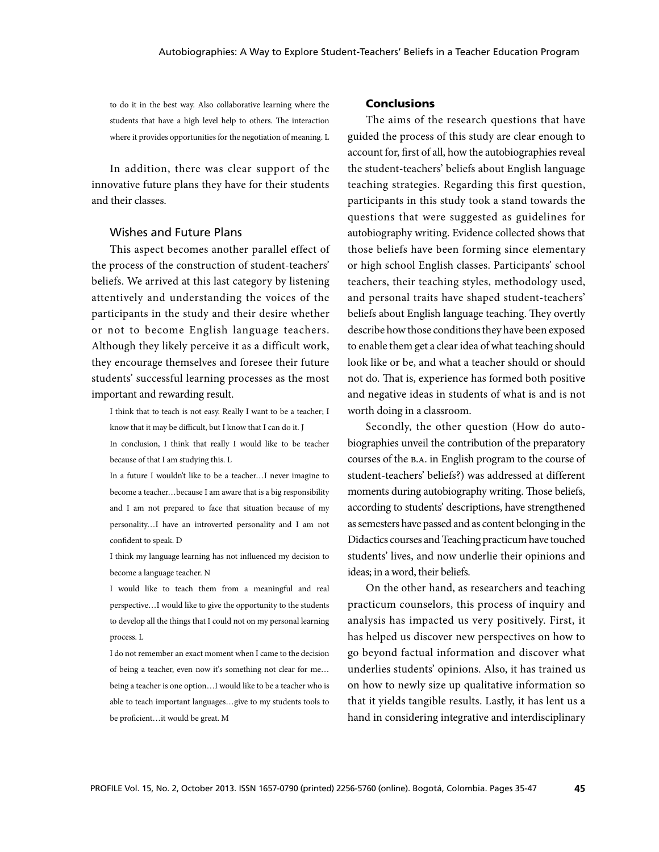to do it in the best way. Also collaborative learning where the students that have a high level help to others. The interaction where it provides opportunities for the negotiation of meaning. L

In addition, there was clear support of the innovative future plans they have for their students and their classes.

### Wishes and Future Plans

This aspect becomes another parallel effect of the process of the construction of student-teachers' beliefs. We arrived at this last category by listening attentively and understanding the voices of the participants in the study and their desire whether or not to become English language teachers. Although they likely perceive it as a difficult work, they encourage themselves and foresee their future students' successful learning processes as the most important and rewarding result.

I think that to teach is not easy. Really I want to be a teacher; I know that it may be difficult, but I know that I can do it. J

In conclusion, I think that really I would like to be teacher because of that I am studying this. L

In a future I wouldn't like to be a teacher…I never imagine to become a teacher…because I am aware that is a big responsibility and I am not prepared to face that situation because of my personality…I have an introverted personality and I am not confident to speak. D

I think my language learning has not influenced my decision to become a language teacher. N

I would like to teach them from a meaningful and real perspective…I would like to give the opportunity to the students to develop all the things that I could not on my personal learning process. L

I do not remember an exact moment when I came to the decision of being a teacher, even now it's something not clear for me… being a teacher is one option…I would like to be a teacher who is able to teach important languages…give to my students tools to be proficient…it would be great. M

### Conclusions

The aims of the research questions that have guided the process of this study are clear enough to account for, first of all, how the autobiographies reveal the student-teachers' beliefs about English language teaching strategies. Regarding this first question, participants in this study took a stand towards the questions that were suggested as guidelines for autobiography writing. Evidence collected shows that those beliefs have been forming since elementary or high school English classes. Participants' school teachers, their teaching styles, methodology used, and personal traits have shaped student-teachers' beliefs about English language teaching. They overtly describe how those conditions they have been exposed to enable them get a clear idea of what teaching should look like or be, and what a teacher should or should not do. That is, experience has formed both positive and negative ideas in students of what is and is not worth doing in a classroom.

Secondly, the other question (How do autobiographies unveil the contribution of the preparatory courses of the B.A. in English program to the course of student-teachers' beliefs?) was addressed at different moments during autobiography writing. Those beliefs, according to students' descriptions, have strengthened as semesters have passed and as content belonging in the Didactics courses and Teaching practicum have touched students' lives, and now underlie their opinions and ideas; in a word, their beliefs.

On the other hand, as researchers and teaching practicum counselors, this process of inquiry and analysis has impacted us very positively. First, it has helped us discover new perspectives on how to go beyond factual information and discover what underlies students' opinions. Also, it has trained us on how to newly size up qualitative information so that it yields tangible results. Lastly, it has lent us a hand in considering integrative and interdisciplinary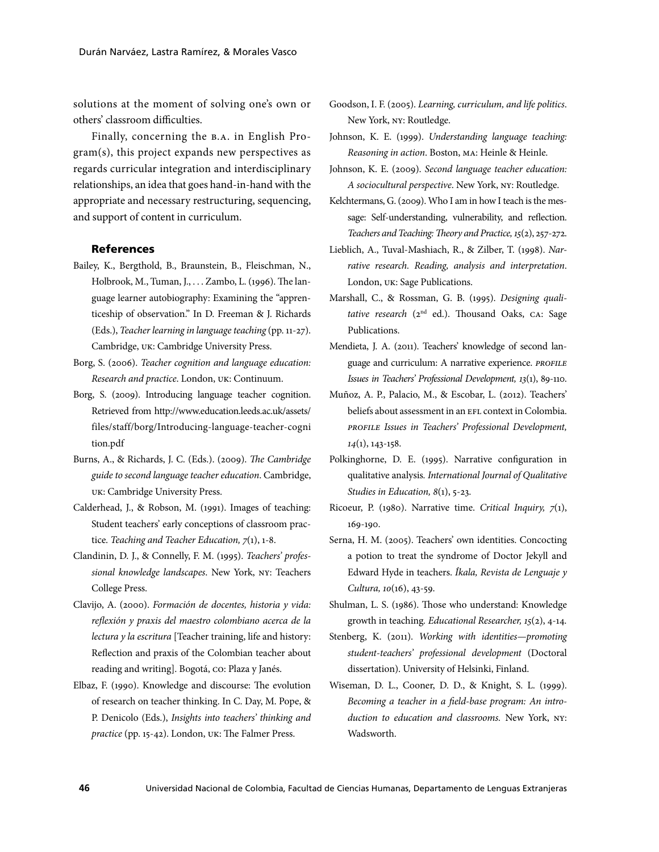solutions at the moment of solving one's own or others' classroom difficulties.

Finally, concerning the B.A. in English Program(s), this project expands new perspectives as regards curricular integration and interdisciplinary relationships, an idea that goes hand-in-hand with the appropriate and necessary restructuring, sequencing, and support of content in curriculum.

#### **References**

- Bailey, K., Bergthold, B., Braunstein, B., Fleischman, N., Holbrook, M., Tuman, J., . . . Zambo, L. (1996). The language learner autobiography: Examining the "apprenticeship of observation." In D. Freeman & J. Richards (Eds.), *Teacher learning in language teaching* (pp. 11-27). Cambridge, UK: Cambridge University Press.
- Borg, S. (2006). *Teacher cognition and language education: Research and practice*. London, UK: Continuum.
- Borg, S. (2009). Introducing language teacher cognition. Retrieved from http://www.education.leeds.ac.uk/assets/ files/staff/borg/Introducing-language-teacher-cogni tion.pdf
- Burns, A., & Richards, J. C. (Eds.). (2009). *The Cambridge guide to second language teacher education*. Cambridge, UK: Cambridge University Press.
- Calderhead, J., & Robson, M. (1991). Images of teaching: Student teachers' early conceptions of classroom practice. *Teaching and Teacher Education, 7*(1), 1-8.
- Clandinin, D. J., & Connelly, F. M. (1995). *Teachers' professional knowledge landscapes*. New York, NY: Teachers College Press.
- Clavijo, A. (2000). *Formación de docentes, historia y vida: reflexión y praxis del maestro colombiano acerca de la lectura y la escritura* [Teacher training, life and history: Reflection and praxis of the Colombian teacher about reading and writing]. Bogotá, CO: Plaza y Janés.
- Elbaz, F. (1990). Knowledge and discourse: The evolution of research on teacher thinking. In C. Day, M. Pope, & P. Denicolo (Eds.), *Insights into teachers' thinking and practice* (pp. 15-42). London, UK: The Falmer Press.
- Goodson, I. F. (2005). *Learning, curriculum, and life politics*. New York, NY: Routledge.
- Johnson, K. E. (1999). *Understanding language teaching: Reasoning in action*. Boston, MA: Heinle & Heinle.
- Johnson, K. E. (2009). *Second language teacher education: A sociocultural perspective*. New York, NY: Routledge.
- Kelchtermans, G. (2009). Who I am in how I teach is the message: Self-understanding, vulnerability, and reflection. *Teachers and Teaching: Theory and Practice,15*(2), 257-272.
- Lieblich, A., Tuval-Mashiach, R., & Zilber, T. (1998). *Narrative research. Reading, analysis and interpretation*. London, UK: Sage Publications.
- Marshall, C., & Rossman, G. B. (1995). *Designing quali*tative research (2<sup>nd</sup> ed.). Thousand Oaks, CA: Sage Publications.
- Mendieta, J. A. (2011). Teachers' knowledge of second language and curriculum: A narrative experience. *PROFILE Issues in Teachers' Professional Development, 13*(1), 89-110.
- Muñoz, A. P., Palacio, M., & Escobar, L. (2012). Teachers' beliefs about assessment in an EFL context in Colombia. *PROFILE Issues in Teachers' Professional Development, 14*(1), 143-158.
- Polkinghorne, D. E. (1995). Narrative configuration in qualitative analysis*. International Journal of Qualitative Studies in Education, 8*(1), 5-23.
- Ricoeur, P. (1980). Narrative time. *Critical Inquiry, 7*(1), 169-190.
- Serna, H. M. (2005). Teachers' own identities. Concocting a potion to treat the syndrome of Doctor Jekyll and Edward Hyde in teachers. *Íkala, Revista de Lenguaje y Cultura, 10*(16), 43-59.
- Shulman, L. S. (1986). Those who understand: Knowledge growth in teaching*. Educational Researcher, 15*(2), 4-14.
- Stenberg, K. (2011). *Working with identities—promoting student-teachers' professional development* (Doctoral dissertation). University of Helsinki, Finland.
- Wiseman, D. L., Cooner, D. D., & Knight, S. L. (1999). *Becoming a teacher in a field-base program: An introduction to education and classrooms.* New York, NY: Wadsworth.